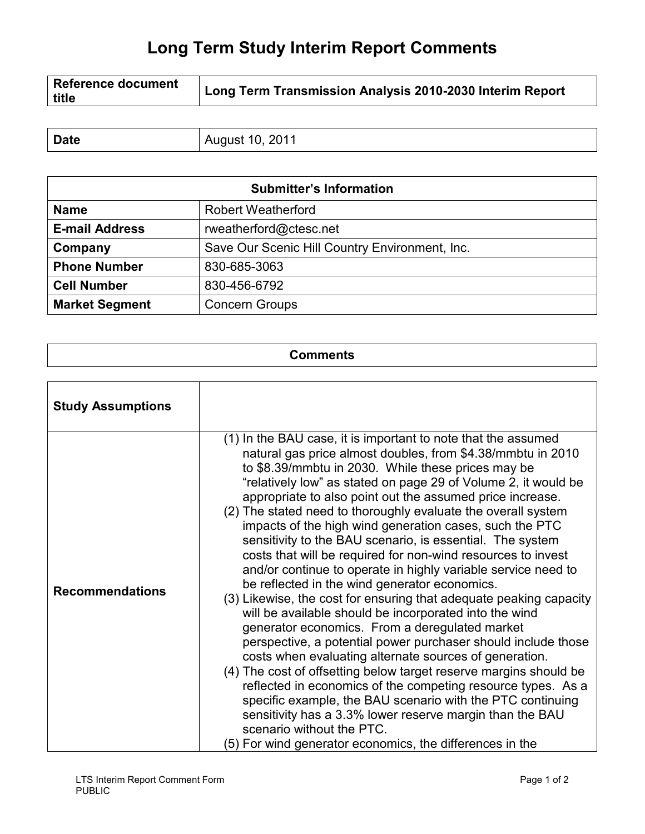## **Long Term Study Interim Report Comments**

| <b>Date</b> | \ugust 10, 2011 |
|-------------|-----------------|
|             |                 |

| <b>Submitter's Information</b> |                                                |  |
|--------------------------------|------------------------------------------------|--|
| <b>Name</b>                    | <b>Robert Weatherford</b>                      |  |
| <b>E-mail Address</b>          | rweatherford@ctesc.net                         |  |
| Company                        | Save Our Scenic Hill Country Environment, Inc. |  |
| <b>Phone Number</b>            | 830-685-3063                                   |  |
| <b>Cell Number</b>             | 830-456-6792                                   |  |
| <b>Market Segment</b>          | <b>Concern Groups</b>                          |  |

| <b>Comments</b><br>_____ |
|--------------------------|
|                          |

| <b>Study Assumptions</b> |                                                                                                                                                                                                                                                                                                                                                                                                                                                                                                                                                                                                                                                                                                                                                                                                                                                                                                                                                                                                                                                                                                                                                                                                                                                                                                                                                                   |
|--------------------------|-------------------------------------------------------------------------------------------------------------------------------------------------------------------------------------------------------------------------------------------------------------------------------------------------------------------------------------------------------------------------------------------------------------------------------------------------------------------------------------------------------------------------------------------------------------------------------------------------------------------------------------------------------------------------------------------------------------------------------------------------------------------------------------------------------------------------------------------------------------------------------------------------------------------------------------------------------------------------------------------------------------------------------------------------------------------------------------------------------------------------------------------------------------------------------------------------------------------------------------------------------------------------------------------------------------------------------------------------------------------|
| <b>Recommendations</b>   | (1) In the BAU case, it is important to note that the assumed<br>natural gas price almost doubles, from \$4.38/mmbtu in 2010<br>to \$8.39/mmbtu in 2030. While these prices may be<br>"relatively low" as stated on page 29 of Volume 2, it would be<br>appropriate to also point out the assumed price increase.<br>(2) The stated need to thoroughly evaluate the overall system<br>impacts of the high wind generation cases, such the PTC<br>sensitivity to the BAU scenario, is essential. The system<br>costs that will be required for non-wind resources to invest<br>and/or continue to operate in highly variable service need to<br>be reflected in the wind generator economics.<br>(3) Likewise, the cost for ensuring that adequate peaking capacity<br>will be available should be incorporated into the wind<br>generator economics. From a deregulated market<br>perspective, a potential power purchaser should include those<br>costs when evaluating alternate sources of generation.<br>(4) The cost of offsetting below target reserve margins should be<br>reflected in economics of the competing resource types. As a<br>specific example, the BAU scenario with the PTC continuing<br>sensitivity has a 3.3% lower reserve margin than the BAU<br>scenario without the PTC.<br>(5) For wind generator economics, the differences in the |